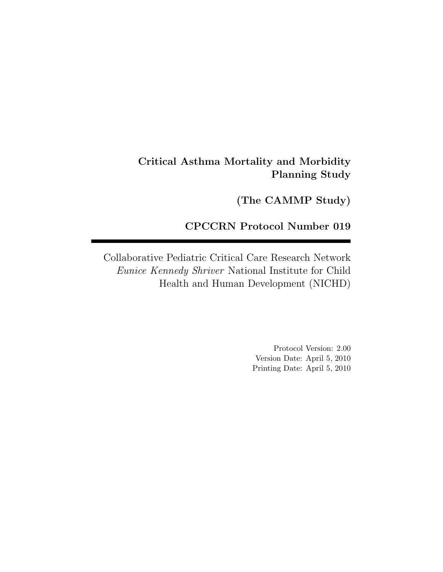# Critical Asthma Mortality and Morbidity Planning Study

(The CAMMP Study)

CPCCRN Protocol Number 019

Collaborative Pediatric Critical Care Research Network Eunice Kennedy Shriver National Institute for Child Health and Human Development (NICHD)

> Protocol Version: 2.00 Version Date: April 5, 2010 Printing Date: April 5, 2010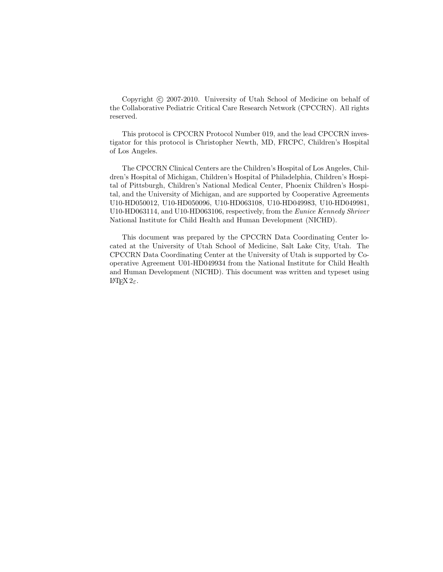Copyright © 2007-2010. University of Utah School of Medicine on behalf of the Collaborative Pediatric Critical Care Research Network (CPCCRN). All rights reserved.

This protocol is CPCCRN Protocol Number 019, and the lead CPCCRN investigator for this protocol is Christopher Newth, MD, FRCPC, Children's Hospital of Los Angeles.

The CPCCRN Clinical Centers are the Children's Hospital of Los Angeles, Children's Hospital of Michigan, Children's Hospital of Philadelphia, Children's Hospital of Pittsburgh, Children's National Medical Center, Phoenix Children's Hospital, and the University of Michigan, and are supported by Cooperative Agreements U10-HD050012, U10-HD050096, U10-HD063108, U10-HD049983, U10-HD049981, U10-HD063114, and U10-HD063106, respectively, from the Eunice Kennedy Shriver National Institute for Child Health and Human Development (NICHD).

This document was prepared by the CPCCRN Data Coordinating Center located at the University of Utah School of Medicine, Salt Lake City, Utah. The CPCCRN Data Coordinating Center at the University of Utah is supported by Cooperative Agreement U01-HD049934 from the National Institute for Child Health and Human Development (NICHD). This document was written and typeset using L<sup>A</sup>T<sub>E</sub>X 2<sub>ε</sub>.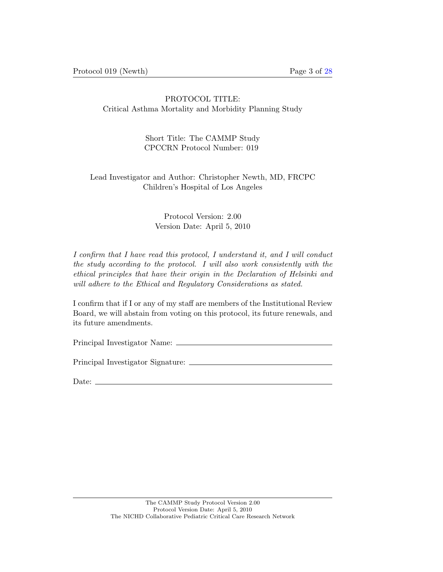### PROTOCOL TITLE: Critical Asthma Mortality and Morbidity Planning Study

#### Short Title: The CAMMP Study CPCCRN Protocol Number: 019

### Lead Investigator and Author: Christopher Newth, MD, FRCPC Children's Hospital of Los Angeles

### Protocol Version: 2.00 Version Date: April 5, 2010

I confirm that I have read this protocol, I understand it, and I will conduct the study according to the protocol. I will also work consistently with the ethical principles that have their origin in the Declaration of Helsinki and will adhere to the Ethical and Regulatory Considerations as stated.

I confirm that if I or any of my staff are members of the Institutional Review Board, we will abstain from voting on this protocol, its future renewals, and its future amendments.

Principal Investigator Name:

Principal Investigator Signature:

Date:  $\_\_$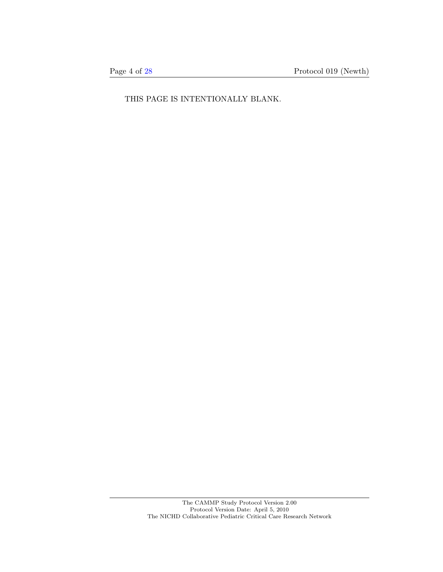### THIS PAGE IS INTENTIONALLY BLANK.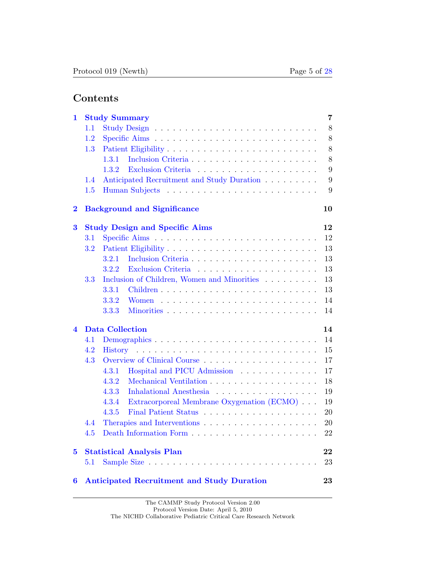# Contents

| 1                       |         | <b>Study Summary</b>                                | 7     |
|-------------------------|---------|-----------------------------------------------------|-------|
|                         | $1.1\,$ |                                                     | $8\,$ |
|                         | 1.2     |                                                     | 8     |
|                         | 1.3     |                                                     | 8     |
|                         |         | 1.3.1<br>Inclusion Criteria                         | 8     |
|                         |         | 1.3.2                                               | 9     |
|                         | 1.4     | Anticipated Recruitment and Study Duration          | 9     |
|                         | 1.5     |                                                     | 9     |
| $\bf{2}$                |         | <b>Background and Significance</b>                  | 10    |
| $\bf{3}$                |         | <b>Study Design and Specific Aims</b>               | 12    |
|                         | $3.1\,$ |                                                     | 12    |
|                         | $3.2\,$ |                                                     | 13    |
|                         |         | 3.2.1                                               | 13    |
|                         |         | 3.2.2                                               | 13    |
|                         | $3.3\,$ | Inclusion of Children, Women and Minorities         | 13    |
|                         |         | 3.3.1                                               | 13    |
|                         |         | 3.3.2                                               | 14    |
|                         |         | 3.3.3                                               | 14    |
| $\overline{\mathbf{4}}$ |         | <b>Data Collection</b>                              | 14    |
|                         | 4.1     |                                                     | 14    |
|                         | 4.2     | <b>History</b>                                      | 15    |
|                         | 4.3     |                                                     | 17    |
|                         |         | 4.3.1<br>Hospital and PICU Admission                | 17    |
|                         |         | 4.3.2                                               | 18    |
|                         |         | 4.3.3<br>Inhalational Anesthesia                    | 19    |
|                         |         | 4.3.4<br>Extracorporeal Membrane Oxygenation (ECMO) | 19    |
|                         |         | 4.3.5                                               | 20    |
|                         | 4.4     |                                                     | 20    |
|                         | 4.5     |                                                     | 22    |
| 5                       |         | <b>Statistical Analysis Plan</b>                    | 22    |
|                         | 5.1     |                                                     | 23    |
| 6                       |         | <b>Anticipated Recruitment and Study Duration</b>   | 23    |

The CAMMP Study Protocol Version 2.00 Protocol Version Date: April 5, 2010 The NICHD Collaborative Pediatric Critical Care Research Network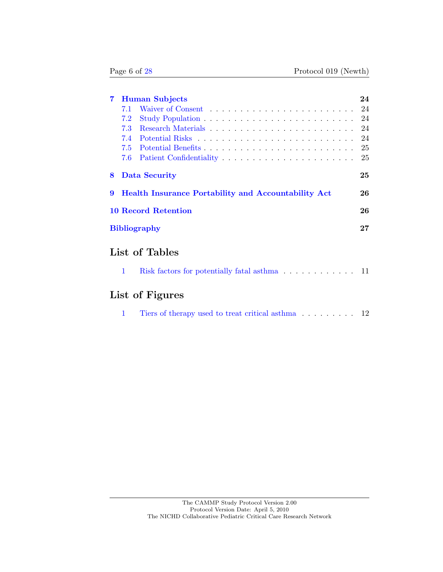|                                  |     | 7 Human Subjects                                           | 24  |  |  |  |  |  |  |
|----------------------------------|-----|------------------------------------------------------------|-----|--|--|--|--|--|--|
|                                  | 7.1 |                                                            | 24  |  |  |  |  |  |  |
|                                  | 7.2 |                                                            | 24  |  |  |  |  |  |  |
|                                  | 7.3 |                                                            | -24 |  |  |  |  |  |  |
|                                  | 7.4 |                                                            | -24 |  |  |  |  |  |  |
|                                  |     |                                                            | 25  |  |  |  |  |  |  |
|                                  | 7.6 |                                                            |     |  |  |  |  |  |  |
| 8                                |     | <b>Data Security</b>                                       | 25  |  |  |  |  |  |  |
| 9                                |     | <b>Health Insurance Portability and Accountability Act</b> | 26  |  |  |  |  |  |  |
| <b>10 Record Retention</b><br>26 |     |                                                            |     |  |  |  |  |  |  |
| <b>Bibliography</b><br>$\bf 27$  |     |                                                            |     |  |  |  |  |  |  |

# List of Tables

|  |  | Risk factors for potentially fatal asthma 11 |  |  |  |  |  |  |  |  |
|--|--|----------------------------------------------|--|--|--|--|--|--|--|--|
|  |  |                                              |  |  |  |  |  |  |  |  |

# List of Figures

|--|--|--|--|--|--|--|--|--|--|--|--|--|--|--|--|--|--|--|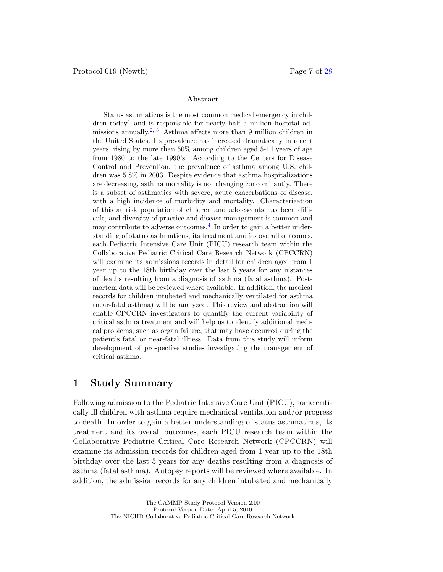#### Abstract

Status asthmaticus is the most common medical emergency in chil- $\alpha$  dren today<sup>[1](#page-26-1)</sup> and is responsible for nearly half a million hospital ad-missions annually.<sup>[2,](#page-26-2) [3](#page-26-3)</sup> Asthma affects more than 9 million children in the United States. Its prevalence has increased dramatically in recent years, rising by more than 50% among children aged 5-14 years of age from 1980 to the late 1990's. According to the Centers for Disease Control and Prevention, the prevalence of asthma among U.S. children was 5.8% in 2003. Despite evidence that asthma hospitalizations are decreasing, asthma mortality is not changing concomitantly. There is a subset of asthmatics with severe, acute exacerbations of disease, with a high incidence of morbidity and mortality. Characterization of this at risk population of children and adolescents has been difficult, and diversity of practice and disease management is common and may contribute to adverse outcomes.<sup>[4](#page-26-4)</sup> In order to gain a better understanding of status asthmaticus, its treatment and its overall outcomes, each Pediatric Intensive Care Unit (PICU) research team within the Collaborative Pediatric Critical Care Research Network (CPCCRN) will examine its admissions records in detail for children aged from 1 year up to the 18th birthday over the last 5 years for any instances of deaths resulting from a diagnosis of asthma (fatal asthma). Postmortem data will be reviewed where available. In addition, the medical records for children intubated and mechanically ventilated for asthma (near-fatal asthma) will be analyzed. This review and abstraction will enable CPCCRN investigators to quantify the current variability of critical asthma treatment and will help us to identify additional medical problems, such as organ failure, that may have occurred during the patient's fatal or near-fatal illness. Data from this study will inform development of prospective studies investigating the management of critical asthma.

#### <span id="page-6-0"></span>1 Study Summary

Following admission to the Pediatric Intensive Care Unit (PICU), some critically ill children with asthma require mechanical ventilation and/or progress to death. In order to gain a better understanding of status asthmaticus, its treatment and its overall outcomes, each PICU research team within the Collaborative Pediatric Critical Care Research Network (CPCCRN) will examine its admission records for children aged from 1 year up to the 18th birthday over the last 5 years for any deaths resulting from a diagnosis of asthma (fatal asthma). Autopsy reports will be reviewed where available. In addition, the admission records for any children intubated and mechanically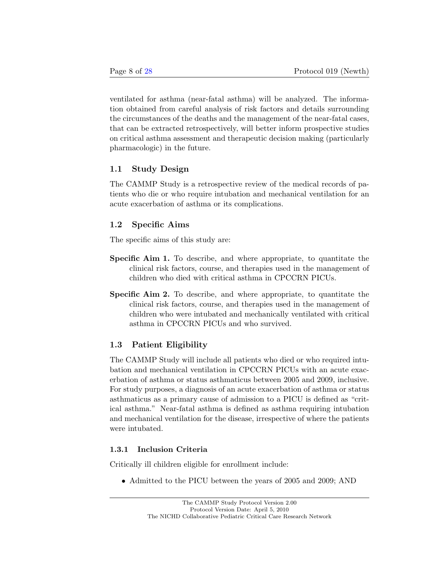ventilated for asthma (near-fatal asthma) will be analyzed. The information obtained from careful analysis of risk factors and details surrounding the circumstances of the deaths and the management of the near-fatal cases, that can be extracted retrospectively, will better inform prospective studies on critical asthma assessment and therapeutic decision making (particularly pharmacologic) in the future.

### <span id="page-7-0"></span>1.1 Study Design

The CAMMP Study is a retrospective review of the medical records of patients who die or who require intubation and mechanical ventilation for an acute exacerbation of asthma or its complications.

### <span id="page-7-1"></span>1.2 Specific Aims

The specific aims of this study are:

- Specific Aim 1. To describe, and where appropriate, to quantitate the clinical risk factors, course, and therapies used in the management of children who died with critical asthma in CPCCRN PICUs.
- Specific Aim 2. To describe, and where appropriate, to quantitate the clinical risk factors, course, and therapies used in the management of children who were intubated and mechanically ventilated with critical asthma in CPCCRN PICUs and who survived.

### <span id="page-7-2"></span>1.3 Patient Eligibility

The CAMMP Study will include all patients who died or who required intubation and mechanical ventilation in CPCCRN PICUs with an acute exacerbation of asthma or status asthmaticus between 2005 and 2009, inclusive. For study purposes, a diagnosis of an acute exacerbation of asthma or status asthmaticus as a primary cause of admission to a PICU is defined as "critical asthma." Near-fatal asthma is defined as asthma requiring intubation and mechanical ventilation for the disease, irrespective of where the patients were intubated.

### <span id="page-7-3"></span>1.3.1 Inclusion Criteria

Critically ill children eligible for enrollment include:

• Admitted to the PICU between the years of 2005 and 2009; AND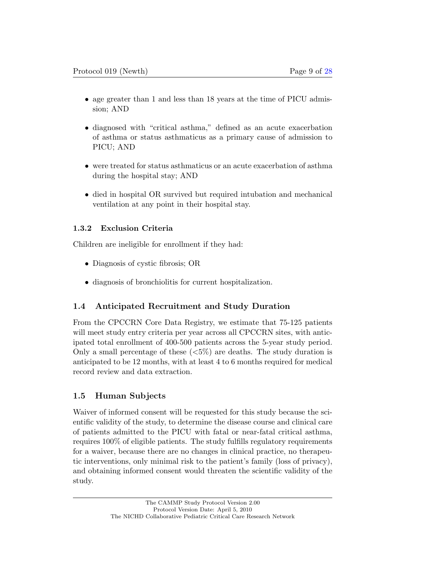- age greater than 1 and less than 18 years at the time of PICU admission; AND
- diagnosed with "critical asthma," defined as an acute exacerbation of asthma or status asthmaticus as a primary cause of admission to PICU; AND
- were treated for status asthmaticus or an acute exacerbation of asthma during the hospital stay; AND
- died in hospital OR survived but required intubation and mechanical ventilation at any point in their hospital stay.

### <span id="page-8-0"></span>1.3.2 Exclusion Criteria

Children are ineligible for enrollment if they had:

- Diagnosis of cystic fibrosis; OR
- diagnosis of bronchiolitis for current hospitalization.

### <span id="page-8-1"></span>1.4 Anticipated Recruitment and Study Duration

From the CPCCRN Core Data Registry, we estimate that 75-125 patients will meet study entry criteria per year across all CPCCRN sites, with anticipated total enrollment of 400-500 patients across the 5-year study period. Only a small percentage of these  $(<5\%)$  are deaths. The study duration is anticipated to be 12 months, with at least 4 to 6 months required for medical record review and data extraction.

### <span id="page-8-2"></span>1.5 Human Subjects

Waiver of informed consent will be requested for this study because the scientific validity of the study, to determine the disease course and clinical care of patients admitted to the PICU with fatal or near-fatal critical asthma, requires 100% of eligible patients. The study fulfills regulatory requirements for a waiver, because there are no changes in clinical practice, no therapeutic interventions, only minimal risk to the patient's family (loss of privacy), and obtaining informed consent would threaten the scientific validity of the study.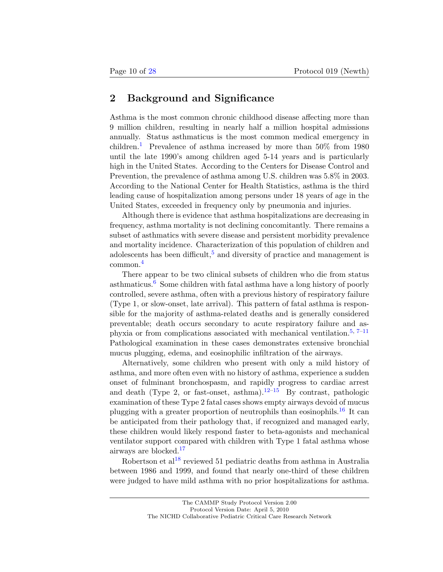### <span id="page-9-0"></span>2 Background and Significance

Asthma is the most common chronic childhood disease affecting more than 9 million children, resulting in nearly half a million hospital admissions annually. Status asthmaticus is the most common medical emergency in children.<sup>[1](#page-26-1)</sup> Prevalence of asthma increased by more than  $50\%$  from 1980 until the late 1990's among children aged 5-14 years and is particularly high in the United States. According to the Centers for Disease Control and Prevention, the prevalence of asthma among U.S. children was 5.8% in 2003. According to the National Center for Health Statistics, asthma is the third leading cause of hospitalization among persons under 18 years of age in the United States, exceeded in frequency only by pneumonia and injuries.

Although there is evidence that asthma hospitalizations are decreasing in frequency, asthma mortality is not declining concomitantly. There remains a subset of asthmatics with severe disease and persistent morbidity prevalence and mortality incidence. Characterization of this population of children and adolescents has been difficult,<sup>[5](#page-26-5)</sup> and diversity of practice and management is common.[4](#page-26-4)

There appear to be two clinical subsets of children who die from status asthmaticus.<sup>[6](#page-26-6)</sup> Some children with fatal asthma have a long history of poorly controlled, severe asthma, often with a previous history of respiratory failure (Type 1, or slow-onset, late arrival). This pattern of fatal asthma is responsible for the majority of asthma-related deaths and is generally considered preventable; death occurs secondary to acute respiratory failure and asphyxia or from complications associated with mechanical ventilation.[5,](#page-26-5) [7](#page-26-7)[–11](#page-26-8) Pathological examination in these cases demonstrates extensive bronchial mucus plugging, edema, and eosinophilic infiltration of the airways.

Alternatively, some children who present with only a mild history of asthma, and more often even with no history of asthma, experience a sudden onset of fulminant bronchospasm, and rapidly progress to cardiac arrest and death (Type 2, or fast-onset, asthma).<sup>[12–](#page-26-9)[15](#page-27-1)</sup> By contrast, pathologic examination of these Type 2 fatal cases shows empty airways devoid of mucus plugging with a greater proportion of neutrophils than eosinophils.[16](#page-27-2) It can be anticipated from their pathology that, if recognized and managed early, these children would likely respond faster to beta-agonists and mechanical ventilator support compared with children with Type 1 fatal asthma whose airways are blocked.[17](#page-27-3)

Robertson et al<sup>[18](#page-27-4)</sup> reviewed 51 pediatric deaths from asthma in Australia between 1986 and 1999, and found that nearly one-third of these children were judged to have mild asthma with no prior hospitalizations for asthma.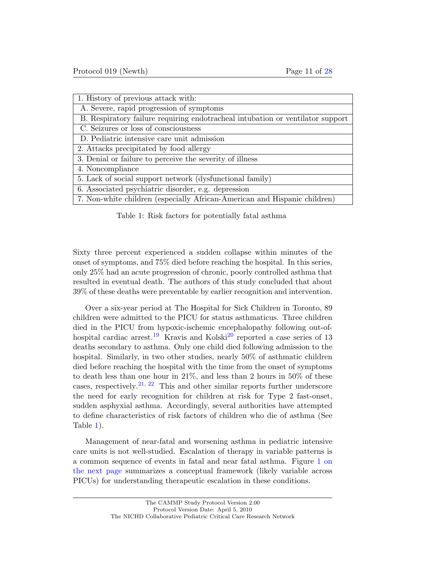| 1. History of previous attack with:                                            |
|--------------------------------------------------------------------------------|
| A. Severe, rapid progression of symptoms                                       |
| B. Respiratory failure requiring endotracheal intubation or ventilator support |
| C. Seizures or loss of consciousness                                           |
| D. Pediatric intensive care unit admission                                     |
| 2. Attacks precipitated by food allergy                                        |
| 3. Denial or failure to perceive the severity of illness                       |
| 4. Noncompliance                                                               |
| 5. Lack of social support network (dysfunctional family)                       |
| 6. Associated psychiatric disorder, e.g. depression                            |
| 7. Non-white children (especially African-American and Hispanic children)      |

<span id="page-10-0"></span>Table 1: Risk factors for potentially fatal asthma

Sixty three percent experienced a sudden collapse within minutes of the onset of symptoms, and 75% died before reaching the hospital. In this series, only 25% had an acute progression of chronic, poorly controlled asthma that resulted in eventual death. The authors of this study concluded that about 39% of these deaths were preventable by earlier recognition and intervention.

Over a six-year period at The Hospital for Sick Children in Toronto, 89 children were admitted to the PICU for status asthmaticus. Three children died in the PICU from hypoxic-ischemic encephalopathy following out-of-hospital cardiac arrest.<sup>[19](#page-27-5)</sup> Kravis and Kolski<sup>[20](#page-27-6)</sup> reported a case series of 13 deaths secondary to asthma. Only one child died following admission to the hospital. Similarly, in two other studies, nearly 50% of asthmatic children died before reaching the hospital with the time from the onset of symptoms to death less than one hour in 21%, and less than 2 hours in 50% of these cases, respectively.<sup>[21,](#page-27-7) [22](#page-27-8)</sup> This and other similar reports further underscore the need for early recognition for children at risk for Type 2 fast-onset, sudden asphyxial asthma. Accordingly, several authorities have attempted to define characteristics of risk factors of children who die of asthma (See Table [1\)](#page-10-0).

Management of near-fatal and worsening asthma in pediatric intensive care units is not well-studied. Escalation of therapy in variable patterns is a common sequence of events in fatal and near fatal asthma. Figure [1 on](#page-11-2) [the next page](#page-11-2) summarizes a conceptual framework (likely variable across PICUs) for understanding therapeutic escalation in these conditions.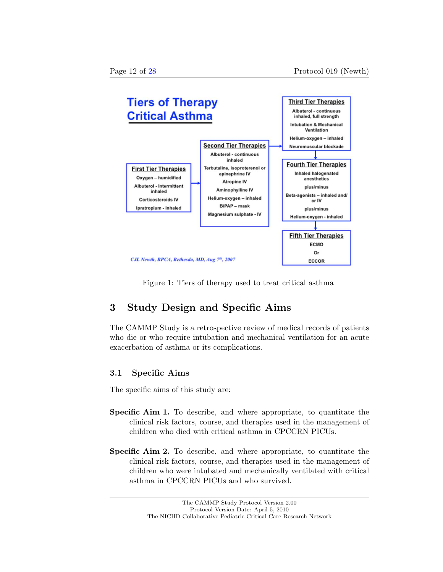

<span id="page-11-2"></span>Figure 1: Tiers of therapy used to treat critical asthma

## <span id="page-11-0"></span>3 Study Design and Specific Aims

The CAMMP Study is a retrospective review of medical records of patients who die or who require intubation and mechanical ventilation for an acute exacerbation of asthma or its complications.

#### <span id="page-11-1"></span>3.1 Specific Aims

The specific aims of this study are:

- Specific Aim 1. To describe, and where appropriate, to quantitate the clinical risk factors, course, and therapies used in the management of children who died with critical asthma in CPCCRN PICUs.
- Specific Aim 2. To describe, and where appropriate, to quantitate the clinical risk factors, course, and therapies used in the management of children who were intubated and mechanically ventilated with critical asthma in CPCCRN PICUs and who survived.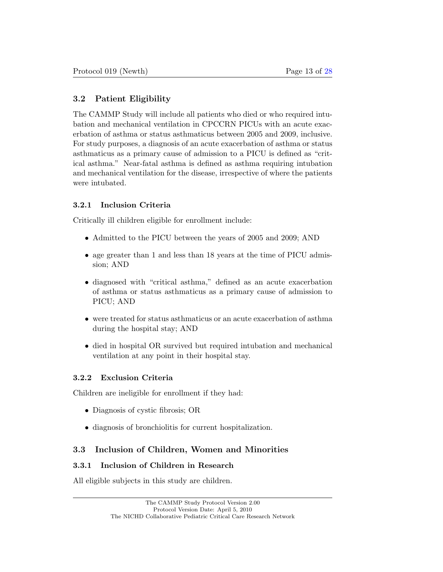### <span id="page-12-0"></span>3.2 Patient Eligibility

The CAMMP Study will include all patients who died or who required intubation and mechanical ventilation in CPCCRN PICUs with an acute exacerbation of asthma or status asthmaticus between 2005 and 2009, inclusive. For study purposes, a diagnosis of an acute exacerbation of asthma or status asthmaticus as a primary cause of admission to a PICU is defined as "critical asthma." Near-fatal asthma is defined as asthma requiring intubation and mechanical ventilation for the disease, irrespective of where the patients were intubated.

### <span id="page-12-1"></span>3.2.1 Inclusion Criteria

Critically ill children eligible for enrollment include:

- Admitted to the PICU between the years of 2005 and 2009; AND
- age greater than 1 and less than 18 years at the time of PICU admission; AND
- diagnosed with "critical asthma," defined as an acute exacerbation of asthma or status asthmaticus as a primary cause of admission to PICU; AND
- were treated for status asthmaticus or an acute exacerbation of asthma during the hospital stay; AND
- died in hospital OR survived but required intubation and mechanical ventilation at any point in their hospital stay.

### <span id="page-12-2"></span>3.2.2 Exclusion Criteria

Children are ineligible for enrollment if they had:

- Diagnosis of cystic fibrosis; OR
- diagnosis of bronchiolitis for current hospitalization.

### <span id="page-12-3"></span>3.3 Inclusion of Children, Women and Minorities

### <span id="page-12-4"></span>3.3.1 Inclusion of Children in Research

All eligible subjects in this study are children.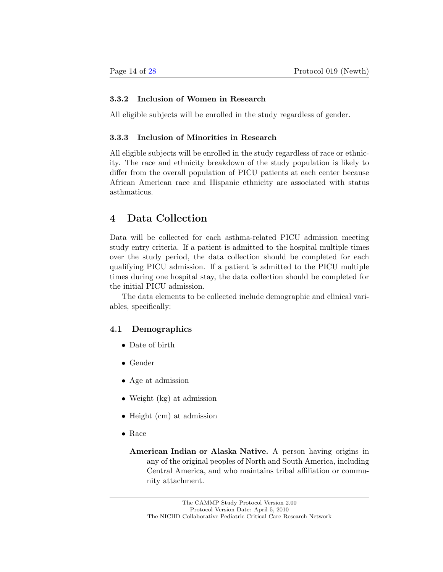#### <span id="page-13-0"></span>3.3.2 Inclusion of Women in Research

All eligible subjects will be enrolled in the study regardless of gender.

#### <span id="page-13-1"></span>3.3.3 Inclusion of Minorities in Research

All eligible subjects will be enrolled in the study regardless of race or ethnicity. The race and ethnicity breakdown of the study population is likely to differ from the overall population of PICU patients at each center because African American race and Hispanic ethnicity are associated with status asthmaticus.

### <span id="page-13-2"></span>4 Data Collection

Data will be collected for each asthma-related PICU admission meeting study entry criteria. If a patient is admitted to the hospital multiple times over the study period, the data collection should be completed for each qualifying PICU admission. If a patient is admitted to the PICU multiple times during one hospital stay, the data collection should be completed for the initial PICU admission.

The data elements to be collected include demographic and clinical variables, specifically:

#### <span id="page-13-3"></span>4.1 Demographics

- Date of birth
- Gender
- Age at admission
- Weight (kg) at admission
- Height (cm) at admission
- Race
	- American Indian or Alaska Native. A person having origins in any of the original peoples of North and South America, including Central America, and who maintains tribal affiliation or community attachment.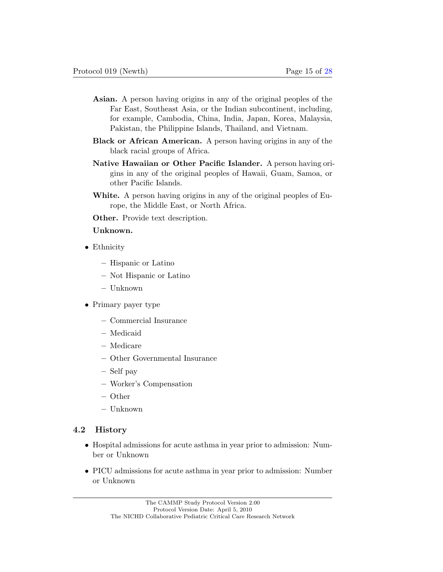- Asian. A person having origins in any of the original peoples of the Far East, Southeast Asia, or the Indian subcontinent, including, for example, Cambodia, China, India, Japan, Korea, Malaysia, Pakistan, the Philippine Islands, Thailand, and Vietnam.
- Black or African American. A person having origins in any of the black racial groups of Africa.
- Native Hawaiian or Other Pacific Islander. A person having origins in any of the original peoples of Hawaii, Guam, Samoa, or other Pacific Islands.
- White. A person having origins in any of the original peoples of Europe, the Middle East, or North Africa.
- Other. Provide text description.

#### Unknown.

- Ethnicity
	- Hispanic or Latino
	- Not Hispanic or Latino
	- Unknown
- Primary payer type
	- Commercial Insurance
	- Medicaid
	- Medicare
	- Other Governmental Insurance
	- Self pay
	- Worker's Compensation
	- Other
	- Unknown

#### <span id="page-14-0"></span>4.2 History

- Hospital admissions for acute asthma in year prior to admission: Number or Unknown
- PICU admissions for acute asthma in year prior to admission: Number or Unknown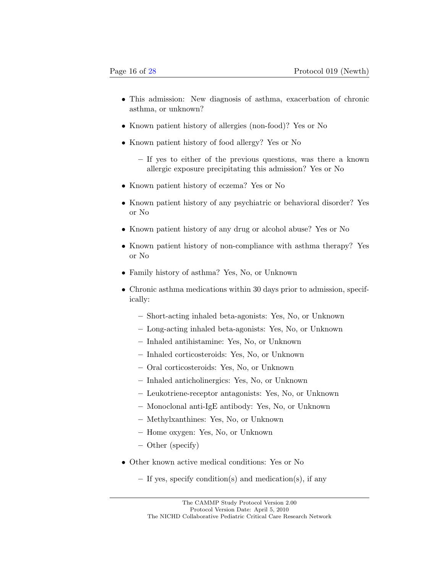- This admission: New diagnosis of asthma, exacerbation of chronic asthma, or unknown?
- Known patient history of allergies (non-food)? Yes or No
- Known patient history of food allergy? Yes or No
	- If yes to either of the previous questions, was there a known allergic exposure precipitating this admission? Yes or No
- Known patient history of eczema? Yes or No
- Known patient history of any psychiatric or behavioral disorder? Yes or No
- Known patient history of any drug or alcohol abuse? Yes or No
- Known patient history of non-compliance with asthma therapy? Yes or No
- Family history of asthma? Yes, No, or Unknown
- Chronic asthma medications within 30 days prior to admission, specifically:
	- Short-acting inhaled beta-agonists: Yes, No, or Unknown
	- Long-acting inhaled beta-agonists: Yes, No, or Unknown
	- Inhaled antihistamine: Yes, No, or Unknown
	- Inhaled corticosteroids: Yes, No, or Unknown
	- Oral corticosteroids: Yes, No, or Unknown
	- Inhaled anticholinergics: Yes, No, or Unknown
	- Leukotriene-receptor antagonists: Yes, No, or Unknown
	- Monoclonal anti-IgE antibody: Yes, No, or Unknown
	- Methylxanthines: Yes, No, or Unknown
	- Home oxygen: Yes, No, or Unknown
	- Other (specify)
- Other known active medical conditions: Yes or No
	- If yes, specify condition(s) and medication(s), if any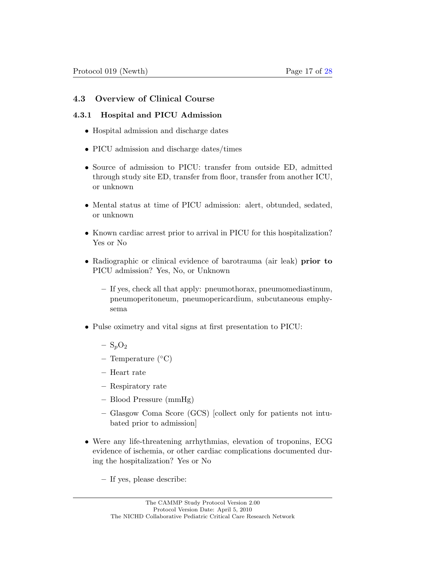### <span id="page-16-0"></span>4.3 Overview of Clinical Course

### <span id="page-16-1"></span>4.3.1 Hospital and PICU Admission

- Hospital admission and discharge dates
- PICU admission and discharge dates/times
- Source of admission to PICU: transfer from outside ED, admitted through study site ED, transfer from floor, transfer from another ICU, or unknown
- Mental status at time of PICU admission: alert, obtunded, sedated, or unknown
- Known cardiac arrest prior to arrival in PICU for this hospitalization? Yes or No
- Radiographic or clinical evidence of barotrauma (air leak) prior to PICU admission? Yes, No, or Unknown
	- If yes, check all that apply: pneumothorax, pneumomediastinum, pneumoperitoneum, pneumopericardium, subcutaneous emphysema
- Pulse oximetry and vital signs at first presentation to PICU:
	- $S_pO_2$
	- Temperature  $(°C)$
	- Heart rate
	- Respiratory rate
	- Blood Pressure (mmHg)
	- Glasgow Coma Score (GCS) [collect only for patients not intubated prior to admission]
- Were any life-threatening arrhythmias, elevation of troponins, ECG evidence of ischemia, or other cardiac complications documented during the hospitalization? Yes or No
	- If yes, please describe: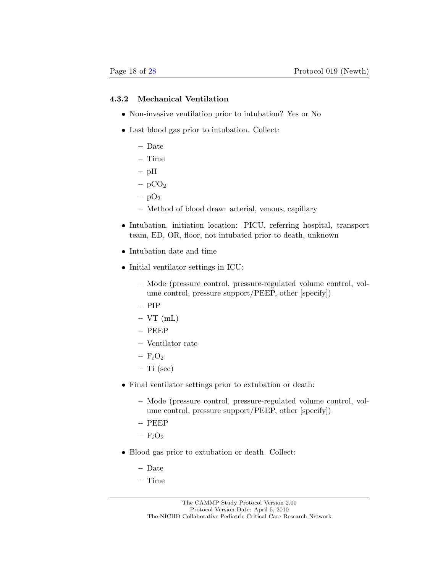#### <span id="page-17-0"></span>4.3.2 Mechanical Ventilation

- Non-invasive ventilation prior to intubation? Yes or No
- Last blood gas prior to intubation. Collect:
	- Date
	- Time
	- $-$  pH
	- $-$  pCO<sub>2</sub>
	- $-$  pO<sub>2</sub>
	- Method of blood draw: arterial, venous, capillary
- Intubation, initiation location: PICU, referring hospital, transport team, ED, OR, floor, not intubated prior to death, unknown
- Intubation date and time
- Initial ventilator settings in ICU:
	- Mode (pressure control, pressure-regulated volume control, volume control, pressure support/PEEP, other [specify])
	- PIP
	- $V T (mL)$
	- PEEP
	- Ventilator rate
	- $F_iO_2$
	- $-$  Ti (sec)
- Final ventilator settings prior to extubation or death:
	- Mode (pressure control, pressure-regulated volume control, volume control, pressure support/PEEP, other [specify])
	- PEEP
	- $F_iO_2$
- Blood gas prior to extubation or death. Collect:
	- Date
	- Time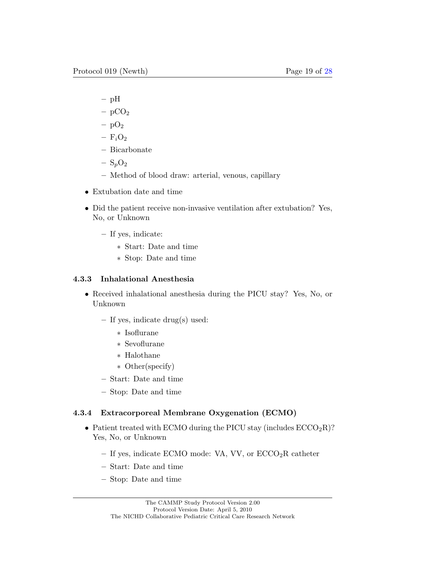- $-$  pH
- $-$  pCO<sub>2</sub>
- $-$  pO<sub>2</sub>
- $F_iO_2$
- Bicarbonate
- $S_pO_2$
- Method of blood draw: arterial, venous, capillary
- Extubation date and time
- Did the patient receive non-invasive ventilation after extubation? Yes, No, or Unknown
	- If yes, indicate:
		- ∗ Start: Date and time
		- ∗ Stop: Date and time

#### <span id="page-18-0"></span>4.3.3 Inhalational Anesthesia

- Received inhalational anesthesia during the PICU stay? Yes, No, or Unknown
	- If yes, indicate drug(s) used:
		- ∗ Isoflurane
		- ∗ Sevoflurane
		- ∗ Halothane
		- ∗ Other(specify)
	- Start: Date and time
	- Stop: Date and time

#### <span id="page-18-1"></span>4.3.4 Extracorporeal Membrane Oxygenation (ECMO)

- Patient treated with ECMO during the PICU stay (includes  $ECCO<sub>2</sub>R$ )? Yes, No, or Unknown
	- If yes, indicate ECMO mode: VA, VV, or  $ECCO<sub>2</sub>R$  catheter
	- Start: Date and time
	- Stop: Date and time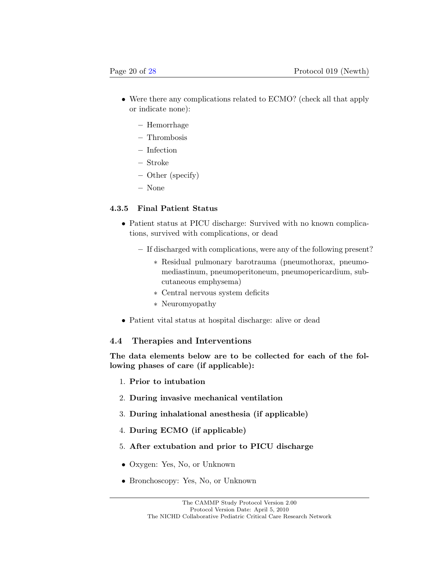- Were there any complications related to ECMO? (check all that apply or indicate none):
	- Hemorrhage
	- Thrombosis
	- Infection
	- Stroke
	- Other (specify)
	- None

#### <span id="page-19-0"></span>4.3.5 Final Patient Status

- Patient status at PICU discharge: Survived with no known complications, survived with complications, or dead
	- If discharged with complications, were any of the following present?
		- ∗ Residual pulmonary barotrauma (pneumothorax, pneumomediastinum, pneumoperitoneum, pneumopericardium, subcutaneous emphysema)
		- ∗ Central nervous system deficits
		- ∗ Neuromyopathy
- Patient vital status at hospital discharge: alive or dead

#### <span id="page-19-1"></span>4.4 Therapies and Interventions

The data elements below are to be collected for each of the following phases of care (if applicable):

- 1. Prior to intubation
- 2. During invasive mechanical ventilation
- 3. During inhalational anesthesia (if applicable)
- 4. During ECMO (if applicable)
- 5. After extubation and prior to PICU discharge
- Oxygen: Yes, No, or Unknown
- Bronchoscopy: Yes, No, or Unknown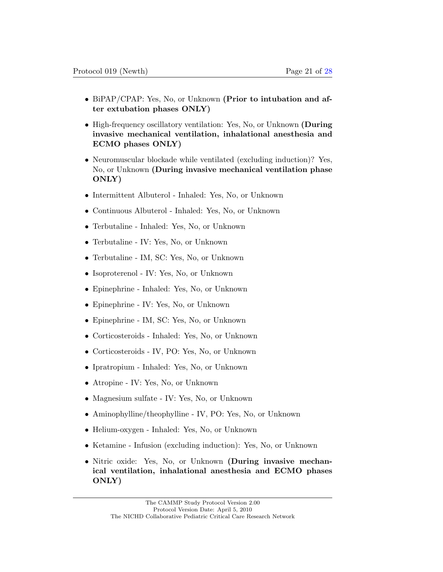- BiPAP/CPAP: Yes, No, or Unknown (Prior to intubation and after extubation phases ONLY)
- High-frequency oscillatory ventilation: Yes, No, or Unknown (During invasive mechanical ventilation, inhalational anesthesia and ECMO phases ONLY)
- Neuromuscular blockade while ventilated (excluding induction)? Yes, No, or Unknown (During invasive mechanical ventilation phase ONLY)
- Intermittent Albuterol Inhaled: Yes, No, or Unknown
- Continuous Albuterol Inhaled: Yes, No, or Unknown
- Terbutaline Inhaled: Yes, No, or Unknown
- Terbutaline IV: Yes, No, or Unknown
- Terbutaline IM, SC: Yes, No, or Unknown
- Isoproterenol IV: Yes, No, or Unknown
- Epinephrine Inhaled: Yes, No, or Unknown
- Epinephrine IV: Yes, No, or Unknown
- Epinephrine IM, SC: Yes, No, or Unknown
- Corticosteroids Inhaled: Yes, No, or Unknown
- Corticosteroids IV, PO: Yes, No, or Unknown
- Ipratropium Inhaled: Yes, No, or Unknown
- Atropine IV: Yes, No, or Unknown
- Magnesium sulfate IV: Yes, No, or Unknown
- Aminophylline/theophylline IV, PO: Yes, No, or Unknown
- Helium-oxygen Inhaled: Yes, No, or Unknown
- Ketamine Infusion (excluding induction): Yes, No, or Unknown
- Nitric oxide: Yes, No, or Unknown (During invasive mechanical ventilation, inhalational anesthesia and ECMO phases ONLY)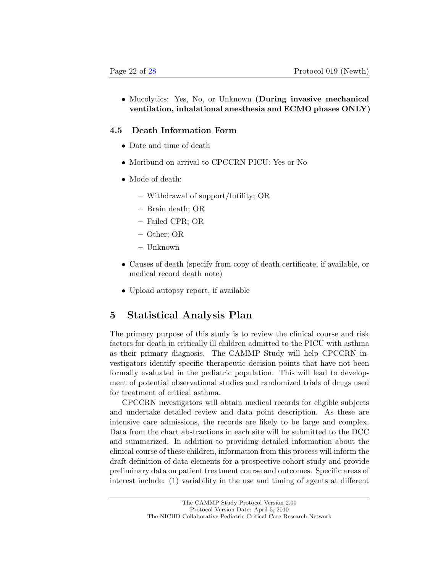• Mucolytics: Yes, No, or Unknown (During invasive mechanical ventilation, inhalational anesthesia and ECMO phases ONLY)

#### <span id="page-21-0"></span>4.5 Death Information Form

- Date and time of death
- Moribund on arrival to CPCCRN PICU: Yes or No
- Mode of death:
	- Withdrawal of support/futility; OR
	- Brain death; OR
	- Failed CPR; OR
	- Other; OR
	- Unknown
- Causes of death (specify from copy of death certificate, if available, or medical record death note)
- Upload autopsy report, if available

### <span id="page-21-1"></span>5 Statistical Analysis Plan

The primary purpose of this study is to review the clinical course and risk factors for death in critically ill children admitted to the PICU with asthma as their primary diagnosis. The CAMMP Study will help CPCCRN investigators identify specific therapeutic decision points that have not been formally evaluated in the pediatric population. This will lead to development of potential observational studies and randomized trials of drugs used for treatment of critical asthma.

CPCCRN investigators will obtain medical records for eligible subjects and undertake detailed review and data point description. As these are intensive care admissions, the records are likely to be large and complex. Data from the chart abstractions in each site will be submitted to the DCC and summarized. In addition to providing detailed information about the clinical course of these children, information from this process will inform the draft definition of data elements for a prospective cohort study and provide preliminary data on patient treatment course and outcomes. Specific areas of interest include: (1) variability in the use and timing of agents at different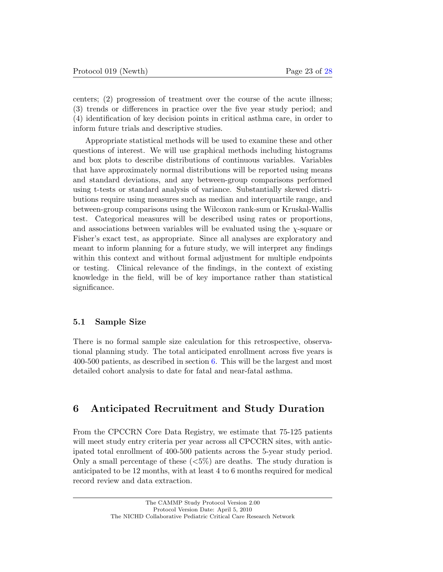centers; (2) progression of treatment over the course of the acute illness; (3) trends or differences in practice over the five year study period; and (4) identification of key decision points in critical asthma care, in order to inform future trials and descriptive studies.

Appropriate statistical methods will be used to examine these and other questions of interest. We will use graphical methods including histograms and box plots to describe distributions of continuous variables. Variables that have approximately normal distributions will be reported using means and standard deviations, and any between-group comparisons performed using t-tests or standard analysis of variance. Substantially skewed distributions require using measures such as median and interquartile range, and between-group comparisons using the Wilcoxon rank-sum or Kruskal-Wallis test. Categorical measures will be described using rates or proportions, and associations between variables will be evaluated using the  $\chi$ -square or Fisher's exact test, as appropriate. Since all analyses are exploratory and meant to inform planning for a future study, we will interpret any findings within this context and without formal adjustment for multiple endpoints or testing. Clinical relevance of the findings, in the context of existing knowledge in the field, will be of key importance rather than statistical significance.

#### <span id="page-22-0"></span>5.1 Sample Size

There is no formal sample size calculation for this retrospective, observational planning study. The total anticipated enrollment across five years is 400-500 patients, as described in section [6.](#page-22-1) This will be the largest and most detailed cohort analysis to date for fatal and near-fatal asthma.

### <span id="page-22-1"></span>6 Anticipated Recruitment and Study Duration

From the CPCCRN Core Data Registry, we estimate that 75-125 patients will meet study entry criteria per year across all CPCCRN sites, with anticipated total enrollment of 400-500 patients across the 5-year study period. Only a small percentage of these  $(<5\%)$  are deaths. The study duration is anticipated to be 12 months, with at least 4 to 6 months required for medical record review and data extraction.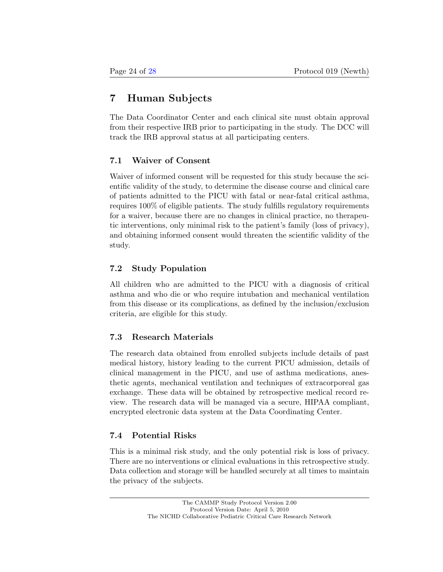## <span id="page-23-0"></span>7 Human Subjects

The Data Coordinator Center and each clinical site must obtain approval from their respective IRB prior to participating in the study. The DCC will track the IRB approval status at all participating centers.

### <span id="page-23-1"></span>7.1 Waiver of Consent

Waiver of informed consent will be requested for this study because the scientific validity of the study, to determine the disease course and clinical care of patients admitted to the PICU with fatal or near-fatal critical asthma, requires 100% of eligible patients. The study fulfills regulatory requirements for a waiver, because there are no changes in clinical practice, no therapeutic interventions, only minimal risk to the patient's family (loss of privacy), and obtaining informed consent would threaten the scientific validity of the study.

### <span id="page-23-2"></span>7.2 Study Population

All children who are admitted to the PICU with a diagnosis of critical asthma and who die or who require intubation and mechanical ventilation from this disease or its complications, as defined by the inclusion/exclusion criteria, are eligible for this study.

### <span id="page-23-3"></span>7.3 Research Materials

The research data obtained from enrolled subjects include details of past medical history, history leading to the current PICU admission, details of clinical management in the PICU, and use of asthma medications, anesthetic agents, mechanical ventilation and techniques of extracorporeal gas exchange. These data will be obtained by retrospective medical record review. The research data will be managed via a secure, HIPAA compliant, encrypted electronic data system at the Data Coordinating Center.

### <span id="page-23-4"></span>7.4 Potential Risks

This is a minimal risk study, and the only potential risk is loss of privacy. There are no interventions or clinical evaluations in this retrospective study. Data collection and storage will be handled securely at all times to maintain the privacy of the subjects.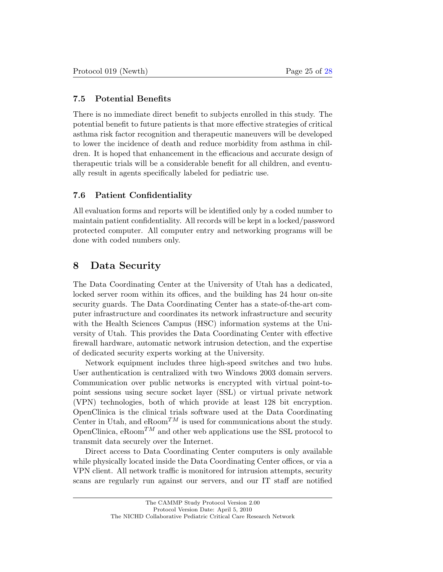#### <span id="page-24-0"></span>7.5 Potential Benefits

There is no immediate direct benefit to subjects enrolled in this study. The potential benefit to future patients is that more effective strategies of critical asthma risk factor recognition and therapeutic maneuvers will be developed to lower the incidence of death and reduce morbidity from asthma in children. It is hoped that enhancement in the efficacious and accurate design of therapeutic trials will be a considerable benefit for all children, and eventually result in agents specifically labeled for pediatric use.

#### <span id="page-24-1"></span>7.6 Patient Confidentiality

All evaluation forms and reports will be identified only by a coded number to maintain patient confidentiality. All records will be kept in a locked/password protected computer. All computer entry and networking programs will be done with coded numbers only.

### <span id="page-24-2"></span>8 Data Security

The Data Coordinating Center at the University of Utah has a dedicated, locked server room within its offices, and the building has 24 hour on-site security guards. The Data Coordinating Center has a state-of-the-art computer infrastructure and coordinates its network infrastructure and security with the Health Sciences Campus (HSC) information systems at the University of Utah. This provides the Data Coordinating Center with effective firewall hardware, automatic network intrusion detection, and the expertise of dedicated security experts working at the University.

Network equipment includes three high-speed switches and two hubs. User authentication is centralized with two Windows 2003 domain servers. Communication over public networks is encrypted with virtual point-topoint sessions using secure socket layer (SSL) or virtual private network (VPN) technologies, both of which provide at least 128 bit encryption. OpenClinica is the clinical trials software used at the Data Coordinating Center in Utah, and  $e$ Room $^{TM}$  is used for communications about the study. OpenClinica,  $e$ Room<sup>TM</sup> and other web applications use the SSL protocol to transmit data securely over the Internet.

Direct access to Data Coordinating Center computers is only available while physically located inside the Data Coordinating Center offices, or via a VPN client. All network traffic is monitored for intrusion attempts, security scans are regularly run against our servers, and our IT staff are notified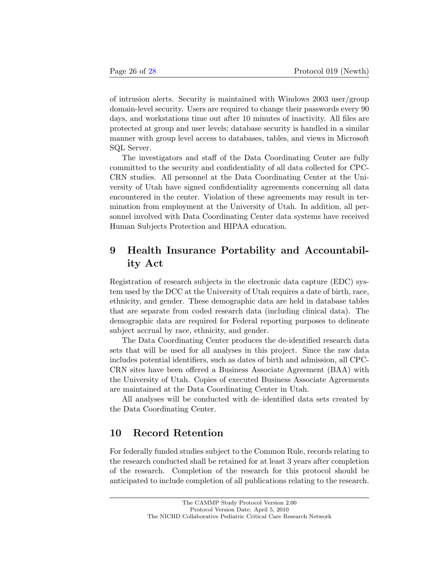of intrusion alerts. Security is maintained with Windows 2003 user/group domain-level security. Users are required to change their passwords every 90 days, and workstations time out after 10 minutes of inactivity. All files are protected at group and user levels; database security is handled in a similar manner with group level access to databases, tables, and views in Microsoft SQL Server.

The investigators and staff of the Data Coordinating Center are fully committed to the security and confidentiality of all data collected for CPC-CRN studies. All personnel at the Data Coordinating Center at the University of Utah have signed confidentiality agreements concerning all data encountered in the center. Violation of these agreements may result in termination from employment at the University of Utah. In addition, all personnel involved with Data Coordinating Center data systems have received Human Subjects Protection and HIPAA education.

## <span id="page-25-0"></span>9 Health Insurance Portability and Accountability Act

Registration of research subjects in the electronic data capture (EDC) system used by the DCC at the University of Utah requires a date of birth, race, ethnicity, and gender. These demographic data are held in database tables that are separate from coded research data (including clinical data). The demographic data are required for Federal reporting purposes to delineate subject accrual by race, ethnicity, and gender.

The Data Coordinating Center produces the de-identified research data sets that will be used for all analyses in this project. Since the raw data includes potential identifiers, such as dates of birth and admission, all CPC-CRN sites have been offered a Business Associate Agreement (BAA) with the University of Utah. Copies of executed Business Associate Agreements are maintained at the Data Coordinating Center in Utah.

All analyses will be conducted with de–identified data sets created by the Data Coordinating Center.

### <span id="page-25-1"></span>10 Record Retention

For federally funded studies subject to the Common Rule, records relating to the research conducted shall be retained for at least 3 years after completion of the research. Completion of the research for this protocol should be anticipated to include completion of all publications relating to the research.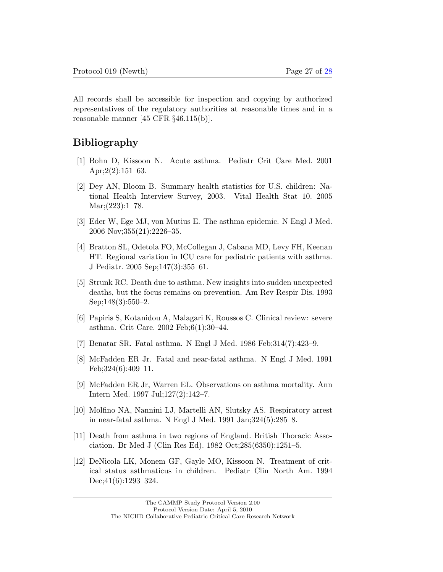All records shall be accessible for inspection and copying by authorized representatives of the regulatory authorities at reasonable times and in a reasonable manner [45 CFR §46.115(b)].

### Bibliography

- <span id="page-26-1"></span><span id="page-26-0"></span>[1] Bohn D, Kissoon N. Acute asthma. Pediatr Crit Care Med. 2001 Apr;2(2):151–63.
- <span id="page-26-2"></span>[2] Dey AN, Bloom B. Summary health statistics for U.S. children: National Health Interview Survey, 2003. Vital Health Stat 10. 2005 Mar;(223):1–78.
- <span id="page-26-3"></span>[3] Eder W, Ege MJ, von Mutius E. The asthma epidemic. N Engl J Med. 2006 Nov;355(21):2226–35.
- <span id="page-26-4"></span>[4] Bratton SL, Odetola FO, McCollegan J, Cabana MD, Levy FH, Keenan HT. Regional variation in ICU care for pediatric patients with asthma. J Pediatr. 2005 Sep;147(3):355–61.
- <span id="page-26-5"></span>[5] Strunk RC. Death due to asthma. New insights into sudden unexpected deaths, but the focus remains on prevention. Am Rev Respir Dis. 1993 Sep;148(3):550–2.
- <span id="page-26-6"></span>[6] Papiris S, Kotanidou A, Malagari K, Roussos C. Clinical review: severe asthma. Crit Care. 2002 Feb;6(1):30–44.
- <span id="page-26-7"></span>[7] Benatar SR. Fatal asthma. N Engl J Med. 1986 Feb;314(7):423–9.
- [8] McFadden ER Jr. Fatal and near-fatal asthma. N Engl J Med. 1991 Feb;324(6):409–11.
- [9] McFadden ER Jr, Warren EL. Observations on asthma mortality. Ann Intern Med. 1997 Jul;127(2):142–7.
- [10] Molfino NA, Nannini LJ, Martelli AN, Slutsky AS. Respiratory arrest in near-fatal asthma. N Engl J Med. 1991 Jan;324(5):285–8.
- <span id="page-26-8"></span>[11] Death from asthma in two regions of England. British Thoracic Association. Br Med J (Clin Res Ed). 1982 Oct;285(6350):1251–5.
- <span id="page-26-9"></span>[12] DeNicola LK, Monem GF, Gayle MO, Kissoon N. Treatment of critical status asthmaticus in children. Pediatr Clin North Am. 1994 Dec; 41(6): 1293–324.